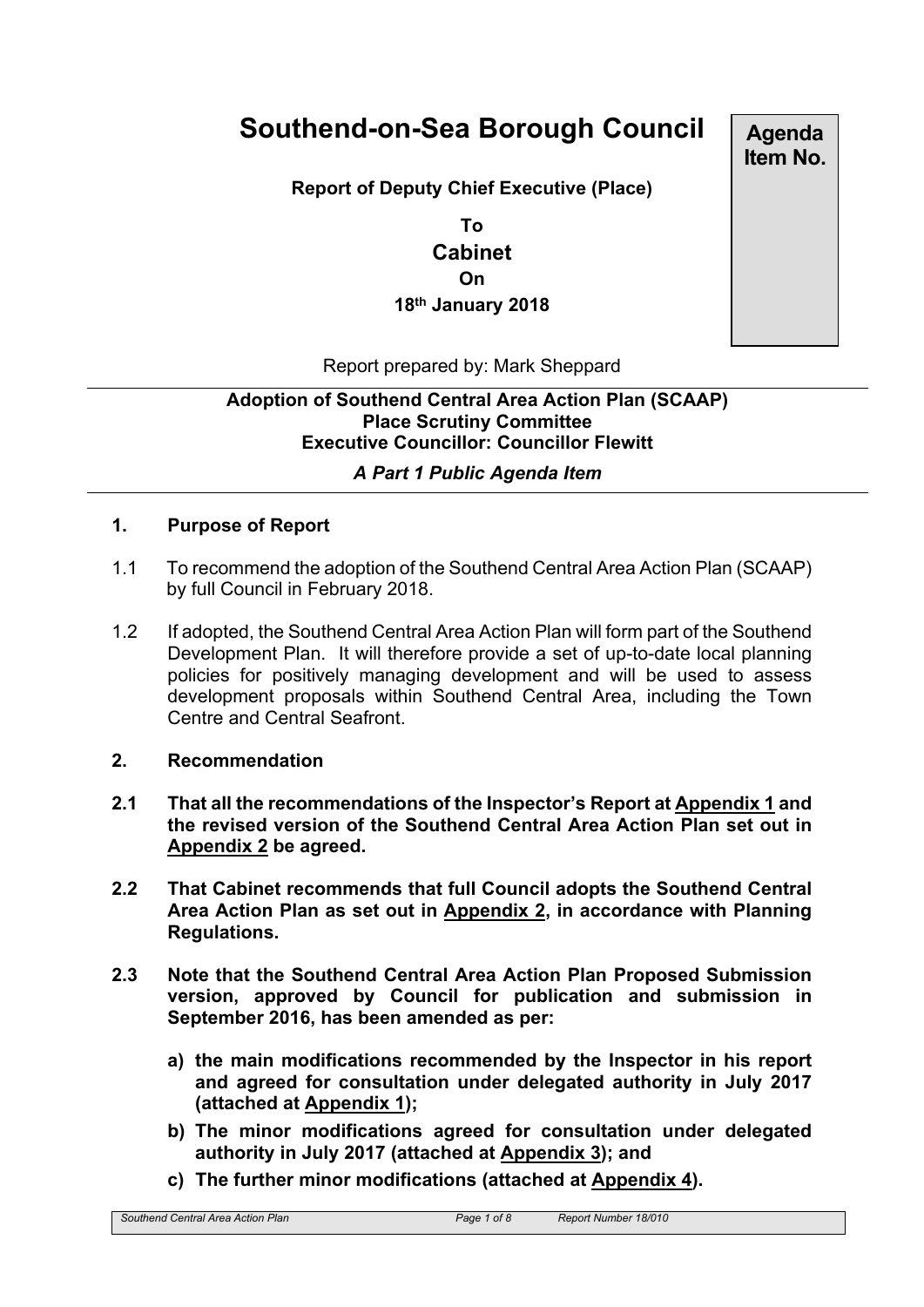# **Southend-on-Sea Borough Council**

**Report of Deputy Chief Executive (Place)**

**To Cabinet On 18th January 2018**

**Agenda Item No.**

Report prepared by: Mark Sheppard

## **Adoption of Southend Central Area Action Plan (SCAAP) Place Scrutiny Committee Executive Councillor: Councillor Flewitt**

## *A Part 1 Public Agenda Item*

#### **1. Purpose of Report**

- 1.1 To recommend the adoption of the Southend Central Area Action Plan (SCAAP) by full Council in February 2018.
- 1.2 If adopted, the Southend Central Area Action Plan will form part of the Southend Development Plan. It will therefore provide a set of up-to-date local planning policies for positively managing development and will be used to assess development proposals within Southend Central Area, including the Town Centre and Central Seafront.

#### **2. Recommendation**

- **2.1 That all the recommendations of the Inspector's Report at Appendix 1 and the revised version of the Southend Central Area Action Plan set out in Appendix 2 be agreed.**
- **2.2 That Cabinet recommends that full Council adopts the Southend Central Area Action Plan as set out in Appendix 2, in accordance with Planning Regulations.**
- **2.3 Note that the Southend Central Area Action Plan Proposed Submission version, approved by Council for publication and submission in September 2016, has been amended as per:**
	- **a) the main modifications recommended by the Inspector in his report and agreed for consultation under delegated authority in July 2017 (attached at Appendix 1);**
	- **b) The minor modifications agreed for consultation under delegated authority in July 2017 (attached at Appendix 3); and**
	- **c) The further minor modifications (attached at Appendix 4).**

*Southend Central Area Action Plan Page 1 of 8 Report Number 18/010*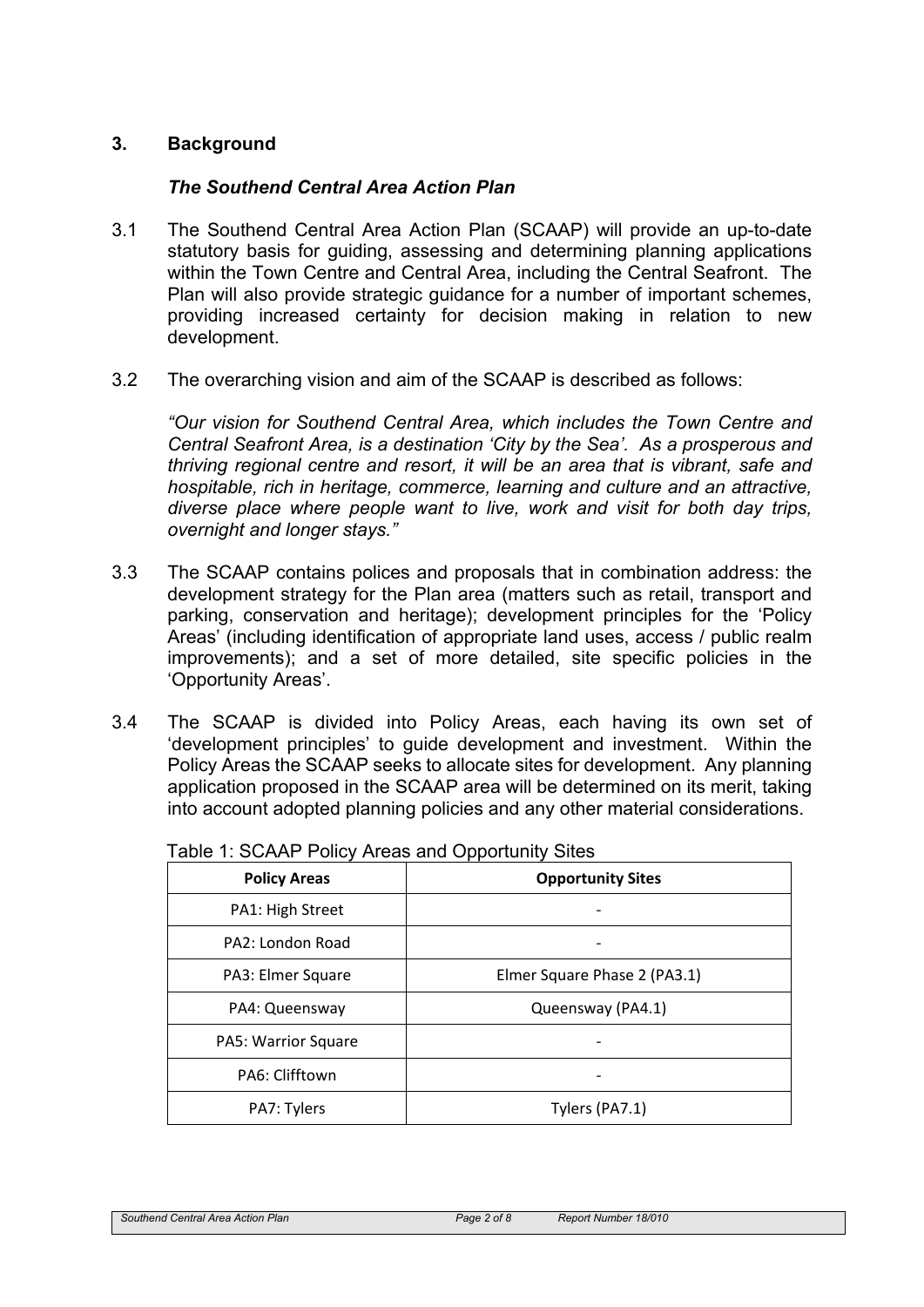## **3. Background**

#### *The Southend Central Area Action Plan*

- 3.1 The Southend Central Area Action Plan (SCAAP) will provide an up-to-date statutory basis for quiding, assessing and determining planning applications within the Town Centre and Central Area, including the Central Seafront. The Plan will also provide strategic guidance for a number of important schemes, providing increased certainty for decision making in relation to new development.
- 3.2 The overarching vision and aim of the SCAAP is described as follows:

*"Our vision for Southend Central Area, which includes the Town Centre and Central Seafront Area, is a destination 'City by the Sea'. As a prosperous and thriving regional centre and resort, it will be an area that is vibrant, safe and hospitable, rich in heritage, commerce, learning and culture and an attractive, diverse place where people want to live, work and visit for both day trips, overnight and longer stays."*

- 3.3 The SCAAP contains polices and proposals that in combination address: the development strategy for the Plan area (matters such as retail, transport and parking, conservation and heritage); development principles for the 'Policy Areas' (including identification of appropriate land uses, access / public realm improvements); and a set of more detailed, site specific policies in the 'Opportunity Areas'.
- 3.4 The SCAAP is divided into Policy Areas, each having its own set of 'development principles' to guide development and investment. Within the Policy Areas the SCAAP seeks to allocate sites for development. Any planning application proposed in the SCAAP area will be determined on its merit, taking into account adopted planning policies and any other material considerations.

| <b>Policy Areas</b> | <b>Opportunity Sites</b>     |
|---------------------|------------------------------|
| PA1: High Street    |                              |
| PA2: London Road    |                              |
| PA3: Elmer Square   | Elmer Square Phase 2 (PA3.1) |
| PA4: Queensway      | Queensway (PA4.1)            |
| PA5: Warrior Square |                              |
| PA6: Clifftown      |                              |
| PA7: Tylers         | Tylers (PA7.1)               |

Table 1: SCAAP Policy Areas and Opportunity Sites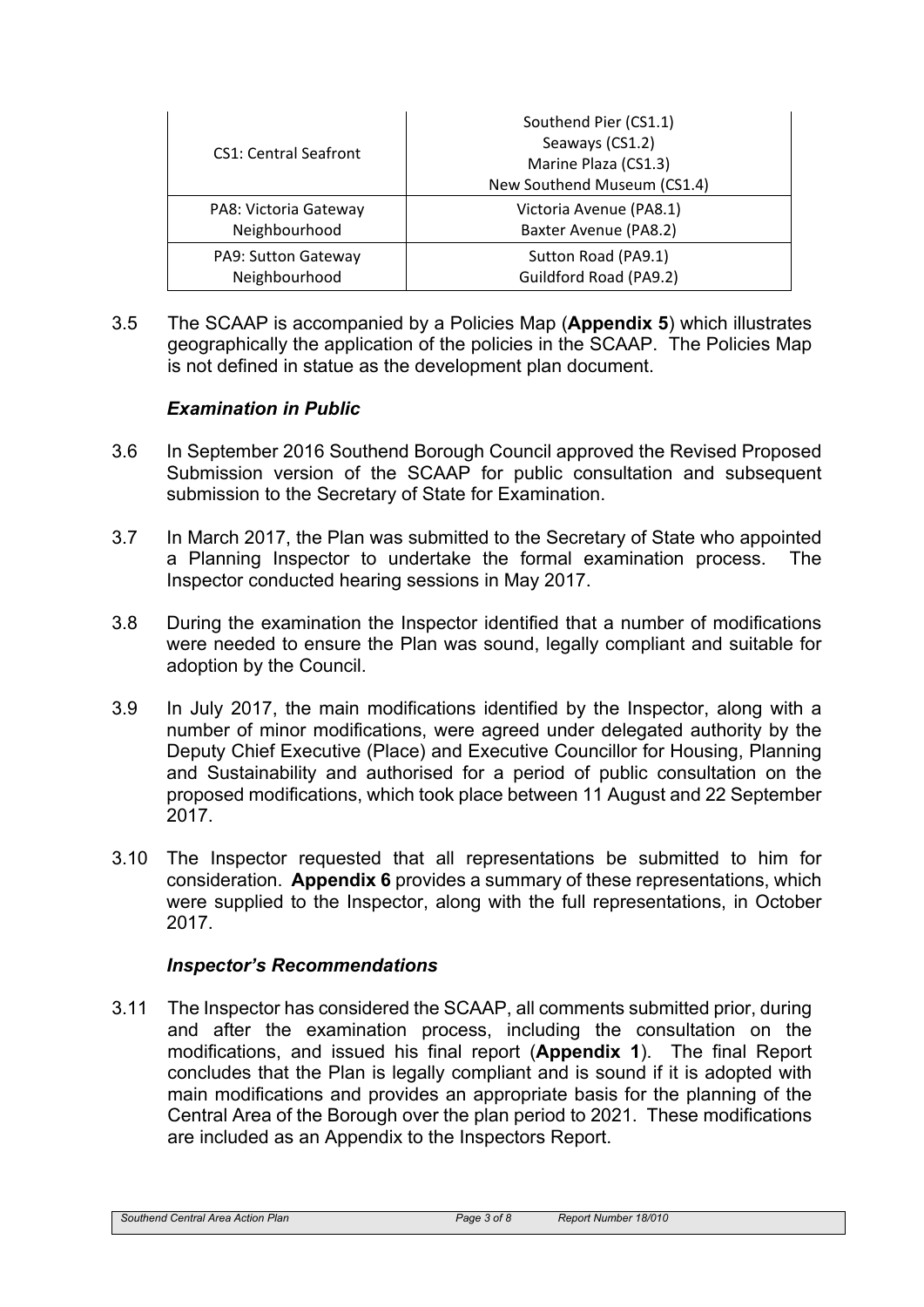| <b>CS1: Central Seafront</b> | Southend Pier (CS1.1)<br>Seaways (CS1.2)<br>Marine Plaza (CS1.3)<br>New Southend Museum (CS1.4) |
|------------------------------|-------------------------------------------------------------------------------------------------|
| PA8: Victoria Gateway        | Victoria Avenue (PA8.1)                                                                         |
| Neighbourhood                | Baxter Avenue (PA8.2)                                                                           |
| PA9: Sutton Gateway          | Sutton Road (PA9.1)                                                                             |
| Neighbourhood                | Guildford Road (PA9.2)                                                                          |

3.5 The SCAAP is accompanied by a Policies Map (**Appendix 5**) which illustrates geographically the application of the policies in the SCAAP. The Policies Map is not defined in statue as the development plan document.

## *Examination in Public*

- 3.6 In September 2016 Southend Borough Council approved the Revised Proposed Submission version of the SCAAP for public consultation and subsequent submission to the Secretary of State for Examination.
- 3.7 In March 2017, the Plan was submitted to the Secretary of State who appointed a Planning Inspector to undertake the formal examination process. The Inspector conducted hearing sessions in May 2017.
- 3.8 During the examination the Inspector identified that a number of modifications were needed to ensure the Plan was sound, legally compliant and suitable for adoption by the Council.
- 3.9 In July 2017, the main modifications identified by the Inspector, along with a number of minor modifications, were agreed under delegated authority by the Deputy Chief Executive (Place) and Executive Councillor for Housing, Planning and Sustainability and authorised for a period of public consultation on the proposed modifications, which took place between 11 August and 22 September 2017.
- 3.10 The Inspector requested that all representations be submitted to him for consideration. **Appendix 6** provides a summary of these representations, which were supplied to the Inspector, along with the full representations, in October 2017.

#### *Inspector's Recommendations*

3.11 The Inspector has considered the SCAAP, all comments submitted prior, during and after the examination process, including the consultation on the modifications, and issued his final report (**Appendix 1**). The final Report concludes that the Plan is legally compliant and is sound if it is adopted with main modifications and provides an appropriate basis for the planning of the Central Area of the Borough over the plan period to 2021. These modifications are included as an Appendix to the Inspectors Report.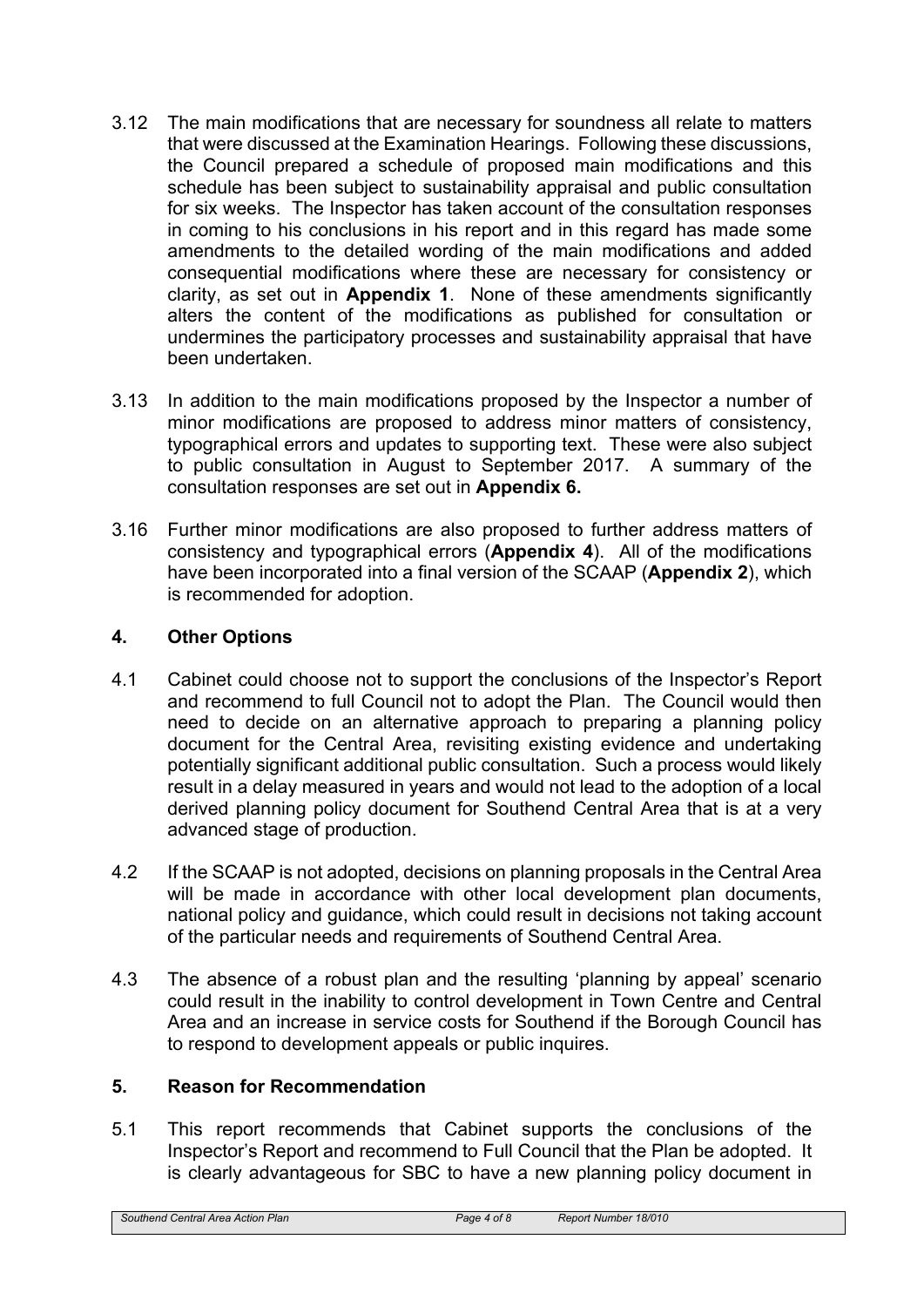- 3.12 The main modifications that are necessary for soundness all relate to matters that were discussed at the Examination Hearings. Following these discussions, the Council prepared a schedule of proposed main modifications and this schedule has been subject to sustainability appraisal and public consultation for six weeks. The Inspector has taken account of the consultation responses in coming to his conclusions in his report and in this regard has made some amendments to the detailed wording of the main modifications and added consequential modifications where these are necessary for consistency or clarity, as set out in **Appendix 1**. None of these amendments significantly alters the content of the modifications as published for consultation or undermines the participatory processes and sustainability appraisal that have been undertaken.
- 3.13 In addition to the main modifications proposed by the Inspector a number of minor modifications are proposed to address minor matters of consistency, typographical errors and updates to supporting text. These were also subject to public consultation in August to September 2017. A summary of the consultation responses are set out in **Appendix 6.**
- 3.16 Further minor modifications are also proposed to further address matters of consistency and typographical errors (**Appendix 4**). All of the modifications have been incorporated into a final version of the SCAAP (**Appendix 2**), which is recommended for adoption.

## **4. Other Options**

- 4.1 Cabinet could choose not to support the conclusions of the Inspector's Report and recommend to full Council not to adopt the Plan. The Council would then need to decide on an alternative approach to preparing a planning policy document for the Central Area, revisiting existing evidence and undertaking potentially significant additional public consultation. Such a process would likely result in a delay measured in years and would not lead to the adoption of a local derived planning policy document for Southend Central Area that is at a very advanced stage of production.
- 4.2 If the SCAAP is not adopted, decisions on planning proposals in the Central Area will be made in accordance with other local development plan documents, national policy and guidance, which could result in decisions not taking account of the particular needs and requirements of Southend Central Area.
- 4.3 The absence of a robust plan and the resulting 'planning by appeal' scenario could result in the inability to control development in Town Centre and Central Area and an increase in service costs for Southend if the Borough Council has to respond to development appeals or public inquires.

## **5. Reason for Recommendation**

5.1 This report recommends that Cabinet supports the conclusions of the Inspector's Report and recommend to Full Council that the Plan be adopted. It is clearly advantageous for SBC to have a new planning policy document in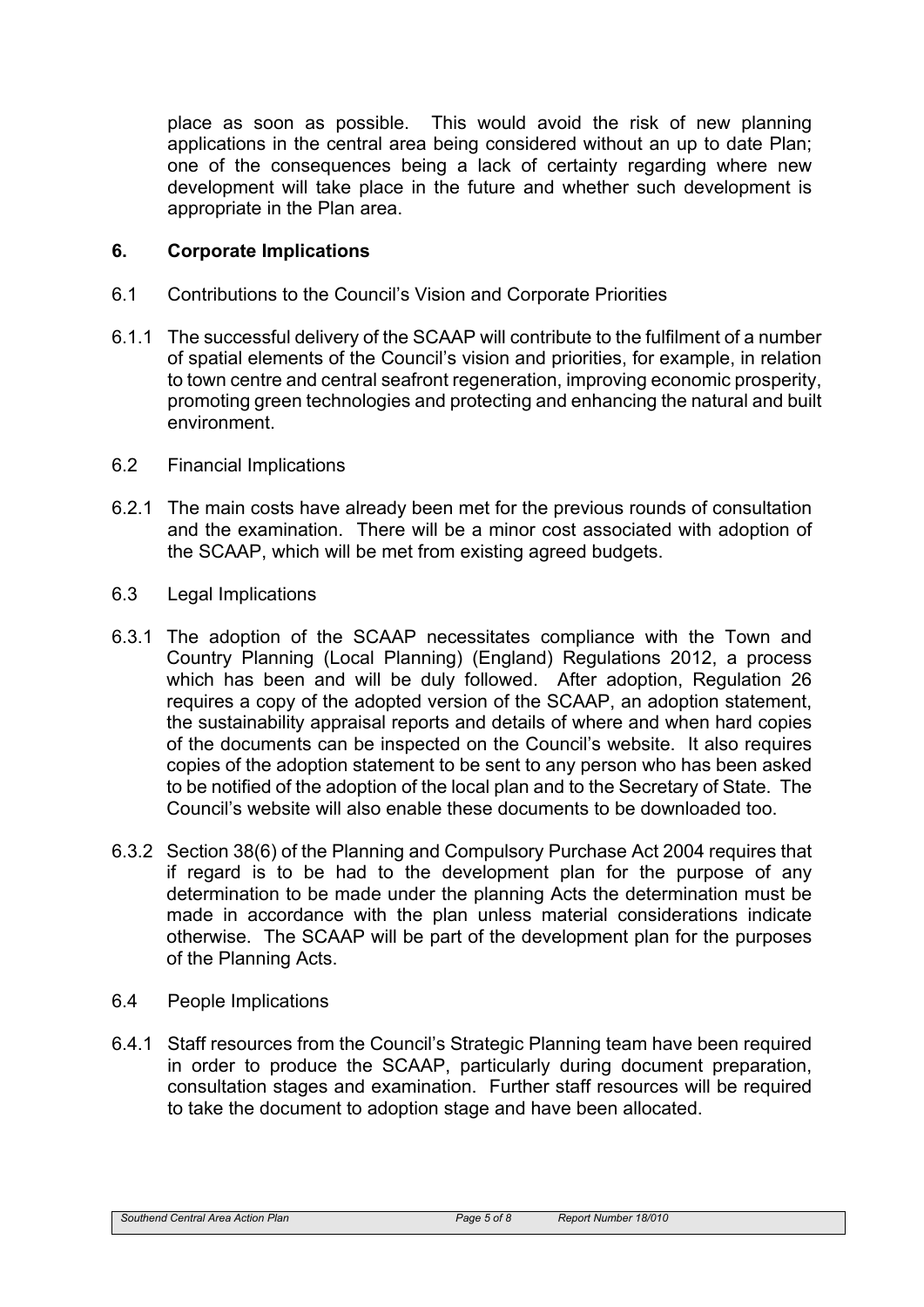place as soon as possible. This would avoid the risk of new planning applications in the central area being considered without an up to date Plan; one of the consequences being a lack of certainty regarding where new development will take place in the future and whether such development is appropriate in the Plan area.

## **6. Corporate Implications**

- 6.1 Contributions to the Council's Vision and Corporate Priorities
- 6.1.1 The successful delivery of the SCAAP will contribute to the fulfilment of a number of spatial elements of the Council's vision and priorities, for example, in relation to town centre and central seafront regeneration, improving economic prosperity, promoting green technologies and protecting and enhancing the natural and built environment.
- 6.2 Financial Implications
- 6.2.1 The main costs have already been met for the previous rounds of consultation and the examination. There will be a minor cost associated with adoption of the SCAAP, which will be met from existing agreed budgets.
- 6.3 Legal Implications
- 6.3.1 The adoption of the SCAAP necessitates compliance with the Town and Country Planning (Local Planning) (England) Regulations 2012, a process which has been and will be duly followed. After adoption, Regulation 26 requires a copy of the adopted version of the SCAAP, an adoption statement, the sustainability appraisal reports and details of where and when hard copies of the documents can be inspected on the Council's website. It also requires copies of the adoption statement to be sent to any person who has been asked to be notified of the adoption of the local plan and to the Secretary of State. The Council's website will also enable these documents to be downloaded too.
- 6.3.2 Section 38(6) of the Planning and Compulsory Purchase Act 2004 requires that if regard is to be had to the development plan for the purpose of any determination to be made under the planning Acts the determination must be made in accordance with the plan unless material considerations indicate otherwise. The SCAAP will be part of the development plan for the purposes of the Planning Acts.
- 6.4 People Implications
- 6.4.1 Staff resources from the Council's Strategic Planning team have been required in order to produce the SCAAP, particularly during document preparation, consultation stages and examination. Further staff resources will be required to take the document to adoption stage and have been allocated.

*Southend Central Area Action Plan Page 5 of 8 Report Number 18/010*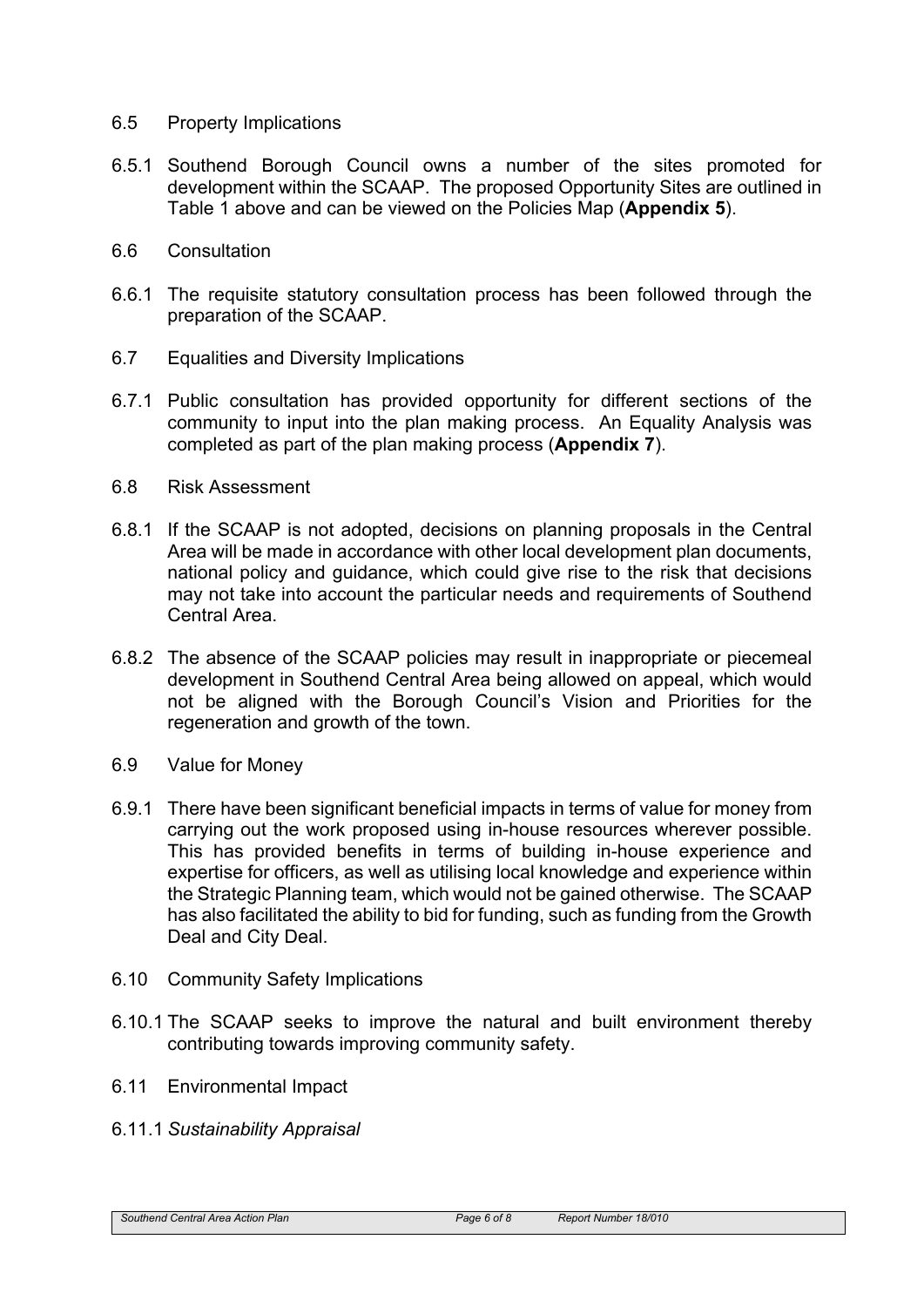#### 6.5 Property Implications

- 6.5.1 Southend Borough Council owns a number of the sites promoted for development within the SCAAP. The proposed Opportunity Sites are outlined in Table 1 above and can be viewed on the Policies Map (**Appendix 5**).
- 6.6 Consultation
- 6.6.1 The requisite statutory consultation process has been followed through the preparation of the SCAAP.
- 6.7 Equalities and Diversity Implications
- 6.7.1 Public consultation has provided opportunity for different sections of the community to input into the plan making process. An Equality Analysis was completed as part of the plan making process (**Appendix 7**).
- 6.8 Risk Assessment
- 6.8.1 If the SCAAP is not adopted, decisions on planning proposals in the Central Area will be made in accordance with other local development plan documents, national policy and guidance, which could give rise to the risk that decisions may not take into account the particular needs and requirements of Southend Central Area.
- 6.8.2 The absence of the SCAAP policies may result in inappropriate or piecemeal development in Southend Central Area being allowed on appeal, which would not be aligned with the Borough Council's Vision and Priorities for the regeneration and growth of the town.
- 6.9 Value for Money
- 6.9.1 There have been significant beneficial impacts in terms of value for money from carrying out the work proposed using in-house resources wherever possible. This has provided benefits in terms of building in-house experience and expertise for officers, as well as utilising local knowledge and experience within the Strategic Planning team, which would not be gained otherwise. The SCAAP has also facilitated the ability to bid for funding, such as funding from the Growth Deal and City Deal.
- 6.10 Community Safety Implications
- 6.10.1 The SCAAP seeks to improve the natural and built environment thereby contributing towards improving community safety.
- 6.11 Environmental Impact
- 6.11.1 *Sustainability Appraisal*

```
Southend Central Area Action Plan Page 6 of 8 Report Number 18/010
```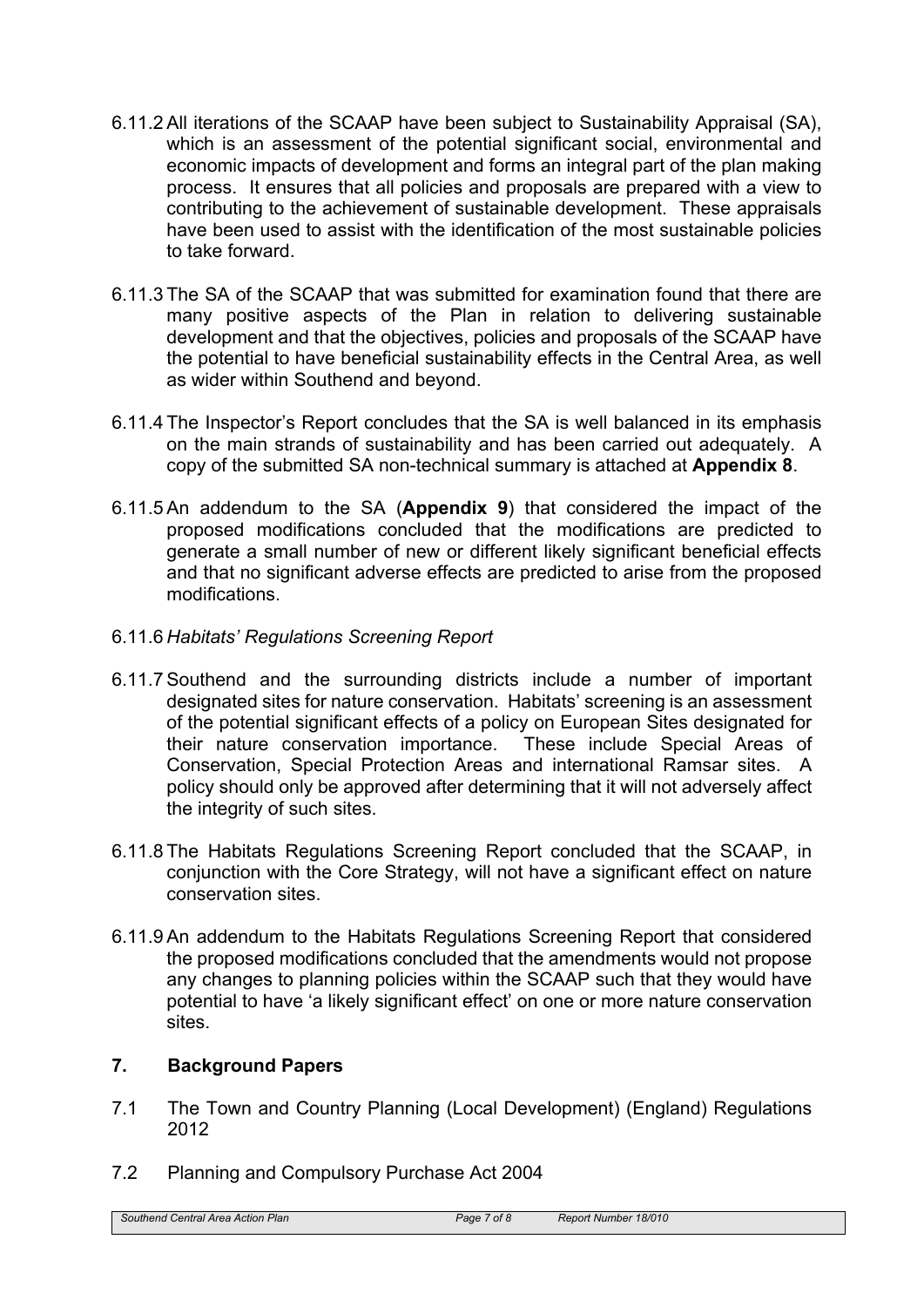- 6.11.2 All iterations of the SCAAP have been subject to Sustainability Appraisal (SA), which is an assessment of the potential significant social, environmental and economic impacts of development and forms an integral part of the plan making process. It ensures that all policies and proposals are prepared with a view to contributing to the achievement of sustainable development. These appraisals have been used to assist with the identification of the most sustainable policies to take forward.
- 6.11.3 The SA of the SCAAP that was submitted for examination found that there are many positive aspects of the Plan in relation to delivering sustainable development and that the objectives, policies and proposals of the SCAAP have the potential to have beneficial sustainability effects in the Central Area, as well as wider within Southend and beyond.
- 6.11.4 The Inspector's Report concludes that the SA is well balanced in its emphasis on the main strands of sustainability and has been carried out adequately. A copy of the submitted SA non-technical summary is attached at **Appendix 8**.
- 6.11.5 An addendum to the SA (**Appendix 9**) that considered the impact of the proposed modifications concluded that the modifications are predicted to generate a small number of new or different likely significant beneficial effects and that no significant adverse effects are predicted to arise from the proposed modifications.
- 6.11.6 *Habitats' Regulations Screening Report*
- 6.11.7 Southend and the surrounding districts include a number of important designated sites for nature conservation. Habitats' screening is an assessment of the potential significant effects of a policy on European Sites designated for their nature conservation importance. These include Special Areas of Conservation, Special Protection Areas and international Ramsar sites. A policy should only be approved after determining that it will not adversely affect the integrity of such sites.
- 6.11.8 The Habitats Regulations Screening Report concluded that the SCAAP, in conjunction with the Core Strategy, will not have a significant effect on nature conservation sites.
- 6.11.9 An addendum to the Habitats Regulations Screening Report that considered the proposed modifications concluded that the amendments would not propose any changes to planning policies within the SCAAP such that they would have potential to have 'a likely significant effect' on one or more nature conservation sites.

## **7. Background Papers**

- 7.1 The Town and Country Planning (Local Development) (England) Regulations 2012
- 7.2 Planning and Compulsory Purchase Act 2004

*Southend Central Area Action Plan Page 7 of 8 Report Number 18/010*